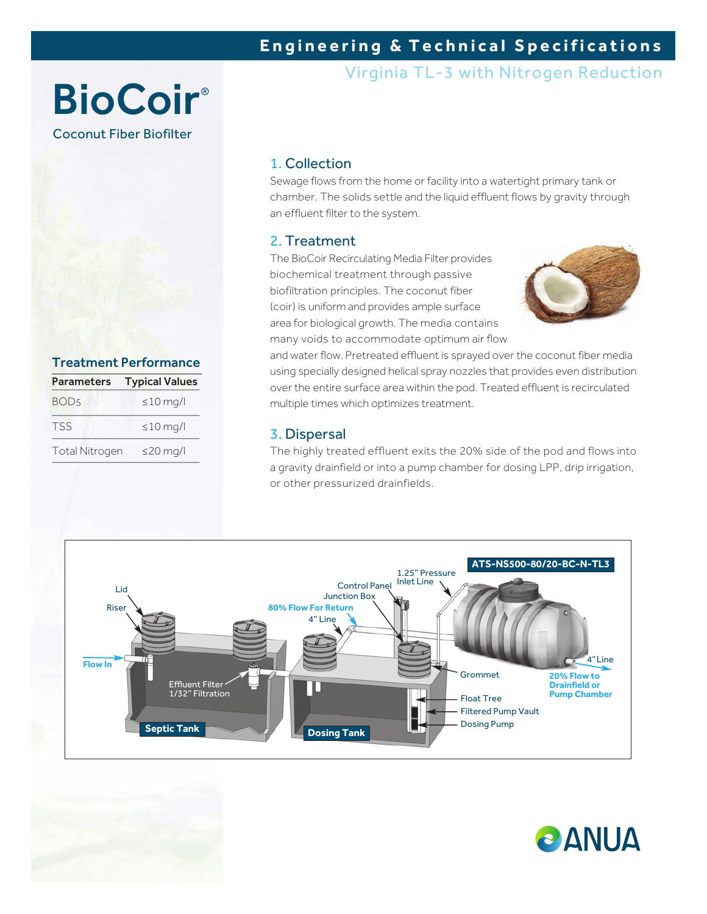### **Engineering & Technical Specifications**

Virginia TL-3 with Nitrogen Reduction

## **BioCoir®** Coconut Fiber Biofilter

Treatment Performance Parameters Typical Values  $BOD_5$   $\leq 10$  mg/l

 $TSS \leq 10 \text{ mg/l}$ 

Total Nitrogen ≤20 mg/l \_\_\_\_\_\_\_\_\_\_\_\_\_\_\_\_\_\_\_\_\_\_\_\_\_

#### 1. Collection

Sewage flows from the home or facility into a watertight primary tank or chamber. The solids settle and the liquid effluent flows by gravity through an effluent filter to the system.

#### 2. Treatment

The BioCoir Recirculating Media Filter provides biochemical treatment through passive biofiltration principles. The coconut fiber (coir) is uniform and provides ample surface area for biological growth. The media contains many voids to accommodate optimum air flow



and water flow. Pretreated effluent is sprayed over the coconut fiber media using specially designed helical spray nozzles that provides even distribution over the entire surface area within the pod. Treated effluent is recirculated multiple times which optimizes treatment.

#### 3. Dispersal

The highly treated effluent exits the 20% side of the pod and flows into a gravity drainfield or into a pump chamber for dosing LPP, drip irrigation, or other pressurized drainfields.